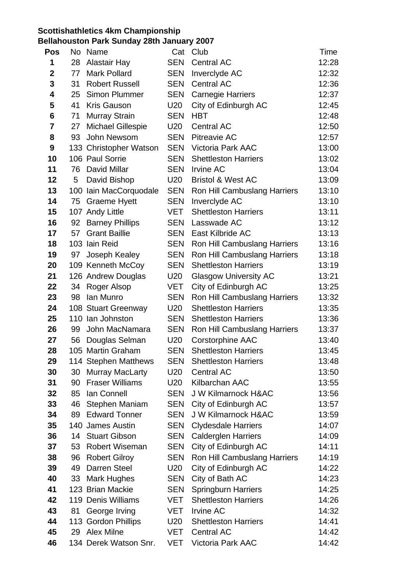## **Scottishathletics 4km Championship**

## **Bellahouston Park Sunday 28th January 2007**

| <b>Pos</b>       | No       | Name                                 | Cat               | Club                                          | <b>Time</b>    |
|------------------|----------|--------------------------------------|-------------------|-----------------------------------------------|----------------|
| 1                | 28       | <b>Alastair Hay</b>                  | <b>SEN</b>        | <b>Central AC</b>                             | 12:28          |
| $\boldsymbol{2}$ | 77       | <b>Mark Pollard</b>                  | <b>SEN</b>        | Inverclyde AC                                 | 12:32          |
| 3                | 31       | <b>Robert Russell</b>                | <b>SEN</b>        | <b>Central AC</b>                             | 12:36          |
| 4                | 25       | Simon Plummer                        | <b>SEN</b>        | <b>Carnegie Harriers</b>                      | 12:37          |
| 5                | 41       | <b>Kris Gauson</b>                   | U20               | City of Edinburgh AC                          | 12:45          |
| 6                | 71       | <b>Murray Strain</b>                 | <b>SEN</b>        | <b>HBT</b>                                    | 12:48          |
| $\overline{7}$   | 27       | <b>Michael Gillespie</b>             | U20               | <b>Central AC</b>                             | 12:50          |
| 8                | 93       | John Newsom                          | <b>SEN</b>        | <b>Pitreavie AC</b>                           | 12:57          |
| 9                |          | 133 Christopher Watson               | <b>SEN</b>        | <b>Victoria Park AAC</b>                      | 13:00          |
| 10               |          | 106 Paul Sorrie                      | <b>SEN</b>        | <b>Shettleston Harriers</b>                   | 13:02          |
| 11               | 76       | David Millar                         | <b>SEN</b>        | <b>Irvine AC</b>                              | 13:04          |
| 12               | 5        | David Bishop                         | U20               | <b>Bristol &amp; West AC</b>                  | 13:09          |
| 13               | 100      | Iain MacCorquodale                   | <b>SEN</b>        | Ron Hill Cambuslang Harriers                  | 13:10          |
| 14               | 75       | <b>Graeme Hyett</b>                  | <b>SEN</b>        | Inverclyde AC                                 | 13:10          |
| 15               |          | 107 Andy Little                      | VET               | <b>Shettleston Harriers</b>                   | 13:11          |
| 16               | 92       | <b>Barney Phillips</b>               | <b>SEN</b>        | Lasswade AC                                   | 13:12          |
| 17               | 57       | <b>Grant Baillie</b>                 | <b>SEN</b>        | East Kilbride AC                              | 13:13          |
| 18               |          | 103 Iain Reid                        | <b>SEN</b>        | Ron Hill Cambuslang Harriers                  | 13:16          |
| 19               | 97       | Joseph Kealey                        | <b>SEN</b>        | Ron Hill Cambuslang Harriers                  | 13:18          |
| 20               |          | 109 Kenneth McCoy                    | <b>SEN</b>        | <b>Shettleston Harriers</b>                   | 13:19          |
| 21               |          | 126 Andrew Douglas                   | U20               | <b>Glasgow University AC</b>                  | 13:21          |
| 22               | 34       | Roger Alsop                          | <b>VET</b>        | City of Edinburgh AC                          | 13:25          |
| 23               | 98       | Ian Munro                            | <b>SEN</b>        | Ron Hill Cambuslang Harriers                  | 13:32          |
| 24               |          | 108 Stuart Greenway                  | U20               | <b>Shettleston Harriers</b>                   | 13:35          |
| 25               |          | 110 Ian Johnston                     | <b>SEN</b>        | <b>Shettleston Harriers</b>                   | 13:36          |
| 26               | 99       | John MacNamara                       | <b>SEN</b>        | Ron Hill Cambuslang Harriers                  | 13:37          |
| 27               | 56       | Douglas Selman                       | U20               | <b>Corstorphine AAC</b>                       | 13:40          |
| 28               |          | 105 Martin Graham                    | <b>SEN</b>        | <b>Shettleston Harriers</b>                   | 13:45          |
| 29               |          | 114 Stephen Matthews                 | SEN               | <b>Shettleston Harriers</b>                   | 13:48          |
| 30               | 30       | Murray MacLarty                      | U20               | <b>Central AC</b>                             | 13:50          |
| 31               | 90       | <b>Fraser Williams</b>               | U20               | Kilbarchan AAC                                | 13:55          |
| 32               | 85       | Ian Connell                          | <b>SEN</b>        | <b>J W Kilmarnock H&amp;AC</b>                | 13:56          |
| 33               | 46       | Stephen Maniam                       | <b>SEN</b>        | City of Edinburgh AC                          | 13:57          |
| 34               | 89       | <b>Edward Tonner</b>                 | <b>SEN</b>        | <b>J W Kilmarnock H&amp;AC</b>                | 13:59          |
| 35               |          | 140 James Austin                     | <b>SEN</b>        | <b>Clydesdale Harriers</b>                    | 14:07          |
| 36               | 14       | <b>Stuart Gibson</b>                 | <b>SEN</b>        | <b>Calderglen Harriers</b>                    | 14:09          |
| 37               | 53       | <b>Robert Wiseman</b>                | <b>SEN</b>        | City of Edinburgh AC                          | 14:11          |
| 38               | 96       | <b>Robert Gilroy</b><br>Darren Steel | <b>SEN</b>        | Ron Hill Cambuslang Harriers                  | 14:19          |
| 39<br>40         | 49<br>33 |                                      | U20<br><b>SEN</b> | City of Edinburgh AC                          | 14:22<br>14:23 |
| 41               |          | Mark Hughes<br>123 Brian Mackie      | <b>SEN</b>        | City of Bath AC<br><b>Springburn Harriers</b> | 14:25          |
| 42               |          | 119 Denis Williams                   | VET               | <b>Shettleston Harriers</b>                   | 14:26          |
| 43               | 81       | George Irving                        | VET               | <b>Irvine AC</b>                              | 14:32          |
| 44               |          | 113 Gordon Phillips                  | U20               | <b>Shettleston Harriers</b>                   | 14:41          |
| 45               | 29       | <b>Alex Milne</b>                    | <b>VET</b>        | <b>Central AC</b>                             | 14:42          |
| 46               |          | 134 Derek Watson Snr.                | <b>VET</b>        | <b>Victoria Park AAC</b>                      | 14:42          |
|                  |          |                                      |                   |                                               |                |